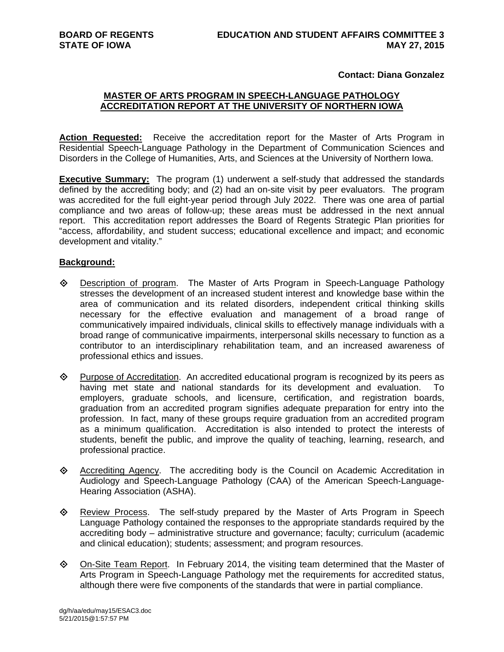## **Contact: Diana Gonzalez**

## **MASTER OF ARTS PROGRAM IN SPEECH-LANGUAGE PATHOLOGY ACCREDITATION REPORT AT THE UNIVERSITY OF NORTHERN IOWA**

**Action Requested:** Receive the accreditation report for the Master of Arts Program in Residential Speech-Language Pathology in the Department of Communication Sciences and Disorders in the College of Humanities, Arts, and Sciences at the University of Northern Iowa.

**Executive Summary:** The program (1) underwent a self-study that addressed the standards defined by the accrediting body; and (2) had an on-site visit by peer evaluators. The program was accredited for the full eight-year period through July 2022. There was one area of partial compliance and two areas of follow-up; these areas must be addressed in the next annual report. This accreditation report addresses the Board of Regents Strategic Plan priorities for "access, affordability, and student success; educational excellence and impact; and economic development and vitality."

## **Background:**

- Description of program. The Master of Arts Program in Speech-Language Pathology stresses the development of an increased student interest and knowledge base within the area of communication and its related disorders, independent critical thinking skills necessary for the effective evaluation and management of a broad range of communicatively impaired individuals, clinical skills to effectively manage individuals with a broad range of communicative impairments, interpersonal skills necessary to function as a contributor to an interdisciplinary rehabilitation team, and an increased awareness of professional ethics and issues.
- $\Diamond$  Purpose of Accreditation. An accredited educational program is recognized by its peers as having met state and national standards for its development and evaluation. To employers, graduate schools, and licensure, certification, and registration boards, graduation from an accredited program signifies adequate preparation for entry into the profession. In fact, many of these groups require graduation from an accredited program as a minimum qualification. Accreditation is also intended to protect the interests of students, benefit the public, and improve the quality of teaching, learning, research, and professional practice.
- Accrediting Agency. The accrediting body is the Council on Academic Accreditation in Audiology and Speech-Language Pathology (CAA) of the American Speech-Language-Hearing Association (ASHA).
- $\Diamond$  Review Process. The self-study prepared by the Master of Arts Program in Speech Language Pathology contained the responses to the appropriate standards required by the accrediting body – administrative structure and governance; faculty; curriculum (academic and clinical education); students; assessment; and program resources.
- $\Diamond$  On-Site Team Report. In February 2014, the visiting team determined that the Master of Arts Program in Speech-Language Pathology met the requirements for accredited status, although there were five components of the standards that were in partial compliance.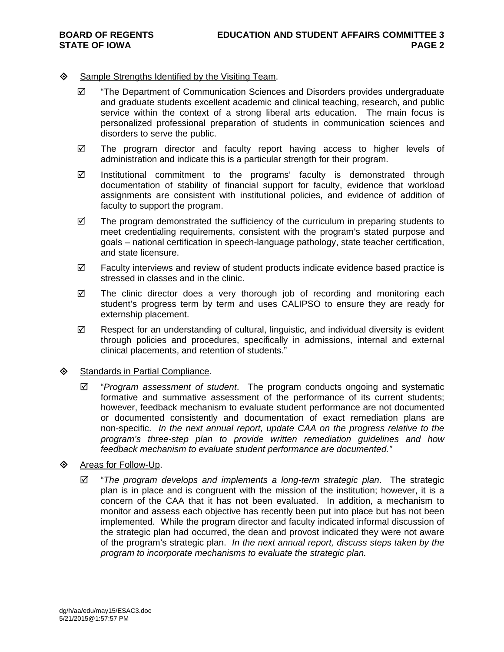## $\diamond$  Sample Strengths Identified by the Visiting Team.

- $\boxtimes$  "The Department of Communication Sciences and Disorders provides undergraduate and graduate students excellent academic and clinical teaching, research, and public service within the context of a strong liberal arts education. The main focus is personalized professional preparation of students in communication sciences and disorders to serve the public.
- The program director and faculty report having access to higher levels of administration and indicate this is a particular strength for their program.
- $\boxtimes$  Institutional commitment to the programs' faculty is demonstrated through documentation of stability of financial support for faculty, evidence that workload assignments are consistent with institutional policies, and evidence of addition of faculty to support the program.
- $\boxtimes$  The program demonstrated the sufficiency of the curriculum in preparing students to meet credentialing requirements, consistent with the program's stated purpose and goals – national certification in speech-language pathology, state teacher certification, and state licensure.
- $\boxtimes$  Faculty interviews and review of student products indicate evidence based practice is stressed in classes and in the clinic.
- $\boxtimes$  The clinic director does a very thorough job of recording and monitoring each student's progress term by term and uses CALIPSO to ensure they are ready for externship placement.
- $\boxtimes$  Respect for an understanding of cultural, linguistic, and individual diversity is evident through policies and procedures, specifically in admissions, internal and external clinical placements, and retention of students."
- **♦ Standards in Partial Compliance.** 
	- $\boxtimes$  "Program assessment of student. The program conducts ongoing and systematic formative and summative assessment of the performance of its current students; however, feedback mechanism to evaluate student performance are not documented or documented consistently and documentation of exact remediation plans are non-specific. *In the next annual report, update CAA on the progress relative to the program's three-step plan to provide written remediation guidelines and how feedback mechanism to evaluate student performance are documented."*
- **♦** Areas for Follow-Up.
	- "*The program develops and implements a long-term strategic plan*. The strategic plan is in place and is congruent with the mission of the institution; however, it is a concern of the CAA that it has not been evaluated. In addition, a mechanism to monitor and assess each objective has recently been put into place but has not been implemented. While the program director and faculty indicated informal discussion of the strategic plan had occurred, the dean and provost indicated they were not aware of the program's strategic plan. *In the next annual report, discuss steps taken by the program to incorporate mechanisms to evaluate the strategic plan.*